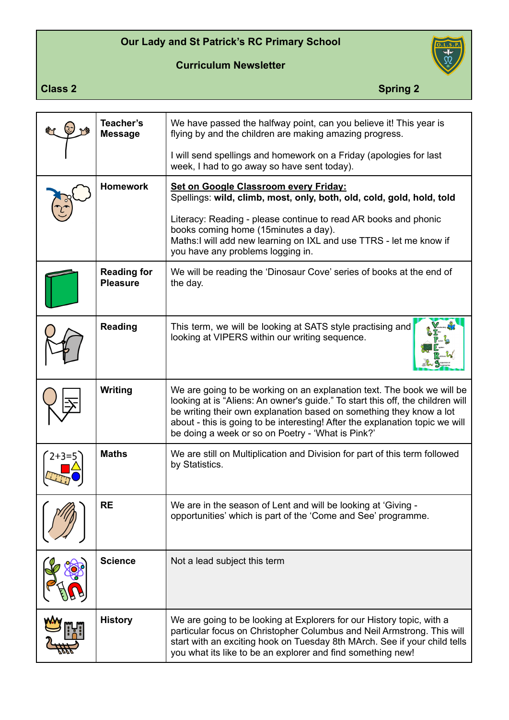## **Our Lady and St Patrick's RC Primary School**





**Class 2** Spring 2

| Teacher's<br><b>Message</b>           | We have passed the halfway point, can you believe it! This year is<br>flying by and the children are making amazing progress.                                                                                                                                                                                                                                        |
|---------------------------------------|----------------------------------------------------------------------------------------------------------------------------------------------------------------------------------------------------------------------------------------------------------------------------------------------------------------------------------------------------------------------|
|                                       | I will send spellings and homework on a Friday (apologies for last<br>week, I had to go away so have sent today).                                                                                                                                                                                                                                                    |
| <b>Homework</b>                       | Set on Google Classroom every Friday:<br>Spellings: wild, climb, most, only, both, old, cold, gold, hold, told                                                                                                                                                                                                                                                       |
|                                       | Literacy: Reading - please continue to read AR books and phonic<br>books coming home (15minutes a day).<br>Maths:I will add new learning on IXL and use TTRS - let me know if<br>you have any problems logging in.                                                                                                                                                   |
| <b>Reading for</b><br><b>Pleasure</b> | We will be reading the 'Dinosaur Cove' series of books at the end of<br>the day.                                                                                                                                                                                                                                                                                     |
| <b>Reading</b>                        | This term, we will be looking at SATS style practising and<br>looking at VIPERS within our writing sequence.                                                                                                                                                                                                                                                         |
| Writing                               | We are going to be working on an explanation text. The book we will be<br>looking at is "Aliens: An owner's guide." To start this off, the children will<br>be writing their own explanation based on something they know a lot<br>about - this is going to be interesting! After the explanation topic we will<br>be doing a week or so on Poetry - 'What is Pink?' |
| <b>Maths</b>                          | We are still on Multiplication and Division for part of this term followed<br>by Statistics.                                                                                                                                                                                                                                                                         |
| <b>RE</b>                             | We are in the season of Lent and will be looking at 'Giving -<br>opportunities' which is part of the 'Come and See' programme.                                                                                                                                                                                                                                       |
| <b>Science</b>                        | Not a lead subject this term                                                                                                                                                                                                                                                                                                                                         |
| <b>History</b>                        | We are going to be looking at Explorers for our History topic, with a<br>particular focus on Christopher Columbus and Neil Armstrong. This will<br>start with an exciting hook on Tuesday 8th MArch. See if your child tells<br>you what its like to be an explorer and find something new!                                                                          |